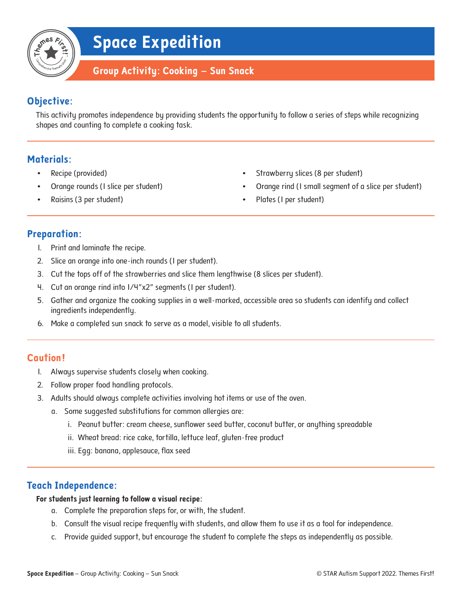## **Space Expedition**

### **Group Activity: Cooking – Sun Snack**

### **Objective:**

This activity promotes independence by providing students the opportunity to follow a series of steps while recognizing shapes and counting to complete a cooking task.

#### **Materials:**

- Recipe (provided)
- Orange rounds (1 slice per student)
- Raisins (3 per student)
- Strawberry slices (8 per student)
- Orange rind (1 small segment of a slice per student)
- Plates (I per student)

#### **Preparation:**

- 1. Print and laminate the recipe.
- 2. Slice an orange into one-inch rounds (1 per student).
- 3. Cut the tops off of the strawberries and slice them lengthwise (8 slices per student).
- 4. Cut an orange rind into 1/4"x2" segments (1 per student).
- 5. Gather and organize the cooking supplies in a well-marked, accessible area so students can identify and collect ingredients independently.
- 6. Make a completed sun snack to serve as a model, visible to all students.

#### **Caution!**

- 1. Always supervise students closely when cooking.
- 2. Follow proper food handling protocols.
- 3. Adults should always complete activities involving hot items or use of the oven.
	- a. Some suggested substitutions for common allergies are:
		- i. Peanut butter: cream cheese, sunflower seed butter, coconut butter, or anything spreadable
		- ii. Wheat bread: rice cake, tortilla, lettuce leaf, gluten-free product
		- iii. Egg: banana, applesauce, flax seed

#### **Teach Independence:**

#### **For students just learning to follow a visual recipe:**

- a. Complete the preparation steps for, or with, the student.
- b. Consult the visual recipe frequently with students, and allow them to use it as a tool for independence.
- c. Provide guided support, but encourage the student to complete the steps as independently as possible.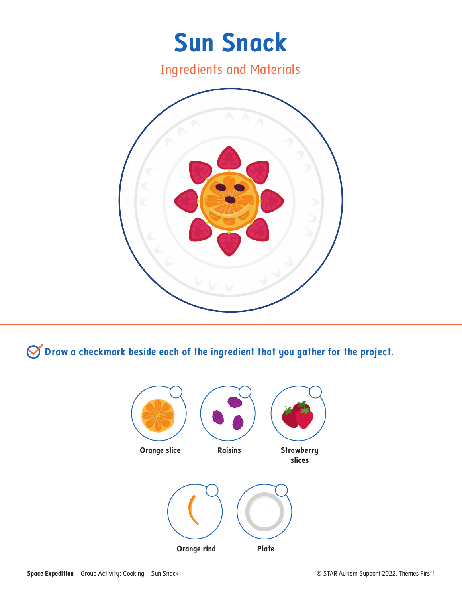

**Draw a checkmark beside each of the ingredient that you gather for the project.**